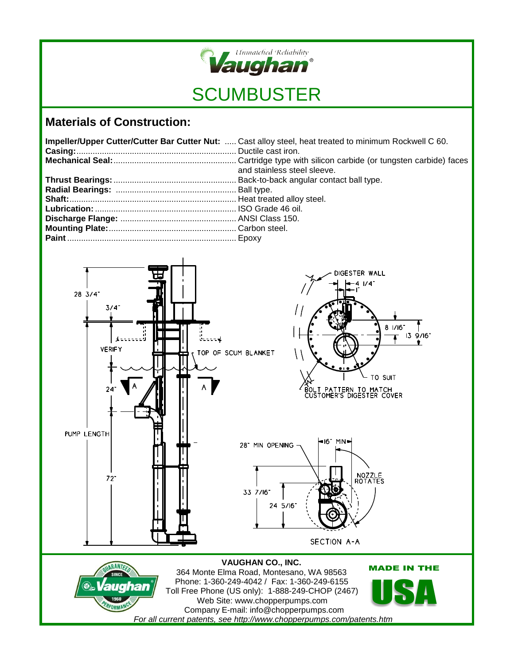

## **Materials of Construction:**

| Impeller/Upper Cutter/Cutter Bar Cutter Nut:  Cast alloy steel, heat treated to minimum Rockwell C 60. |
|--------------------------------------------------------------------------------------------------------|
| and stainless steel sleeve.                                                                            |
|                                                                                                        |
|                                                                                                        |
|                                                                                                        |
|                                                                                                        |
|                                                                                                        |
|                                                                                                        |
|                                                                                                        |